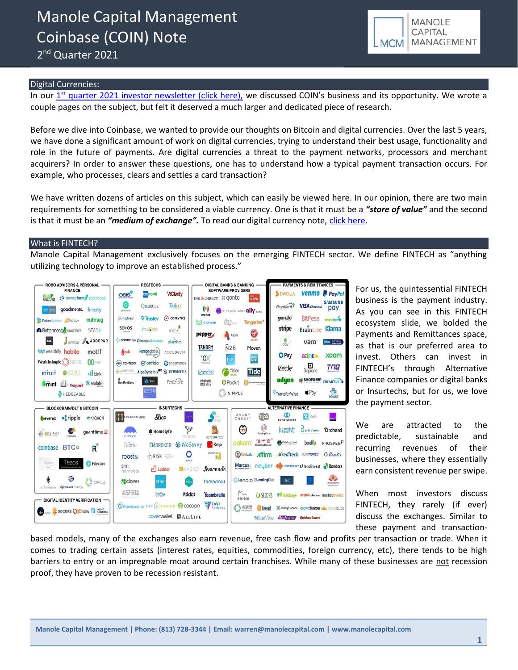2<sup>nd</sup> Quarter 2021



### Digital Currencies:

In our 1<sup>st</sup> [quarter 2021 investor newsletter \(click here\),](https://b9f3c509-36e7-4c54-97bf-174f29a2aa48.filesusr.com/ugd/43315f_d116b19ee84c4fa999574f0f48c2efb6.pdf) we discussed COIN's business and its opportunity. We wrote a couple pages on the subject, but felt it deserved a much larger and dedicated piece of research.

Before we dive into Coinbase, we wanted to provide our thoughts on Bitcoin and digital currencies. Over the last 5 years, we have done a significant amount of work on digital currencies, trying to understand their best usage, functionality and role in the future of payments. Are digital currencies a threat to the payment networks, processors and merchant acquirers? In order to answer these questions, one has to understand how a typical payment transaction occurs. For example, who processes, clears and settles a card transaction?

We have written dozens of articles on this subject, which can easily be viewed here. In our opinion, there are two main requirements for something to be considered a viable currency. One is that it must be a *"store of value"* and the second is that it must be an *"medium of exchange".* To read our digital currency note, [click here.](https://mcusercontent.com/0d7bb47fe61dd043b4d851733/files/db2561f6-0722-4b86-dbb3-e7f626bba71c/Bitcoin_Note_for_2q_newsletter.pdf)

#### What is FINTECH?

Manole Capital Management exclusively focuses on the emerging FINTECH sector. We define FINTECH as "anything utilizing technology to improve an established process."



For us, the quintessential FINTECH business is the payment industry. As you can see in this FINTECH ecosystem slide, we bolded the Payments and Remittances space, as that is our preferred area to invest. Others can invest in FINTECH's through Alternative Finance companies or digital banks or Insurtechs, but for us, we love the payment sector.

We are attracted to the predictable, sustainable and recurring revenues of their businesses, where they essentially earn consistent revenue per swipe.

When most investors discuss FINTECH, they rarely (if ever) discuss the exchanges. Similar to these payment and transaction-

based models, many of the exchanges also earn revenue, free cash flow and profits per transaction or trade. When it comes to trading certain assets (interest rates, equities, commodities, foreign currency, etc), there tends to be high barriers to entry or an impregnable moat around certain franchises. While many of these businesses are not recession proof, they have proven to be recession resistant.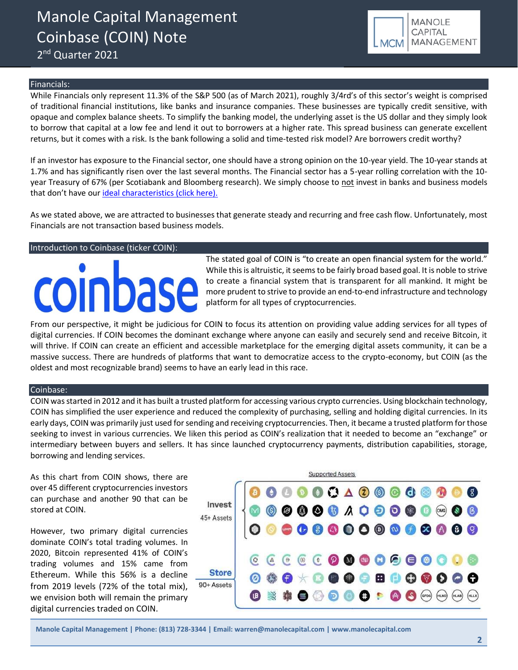2<sup>nd</sup> Quarter 2021



### Financials:

While Financials only represent 11.3% of the S&P 500 (as of March 2021), roughly 3/4rd's of this sector's weight is comprised of traditional financial institutions, like banks and insurance companies. These businesses are typically credit sensitive, with opaque and complex balance sheets. To simplify the banking model, the underlying asset is the US dollar and they simply look to borrow that capital at a low fee and lend it out to borrowers at a higher rate. This spread business can generate excellent returns, but it comes with a risk. Is the bank following a solid and time-tested risk model? Are borrowers credit worthy?

If an investor has exposure to the Financial sector, one should have a strong opinion on the 10-year yield. The 10-year stands at 1.7% and has significantly risen over the last several months. The Financial sector has a 5-year rolling correlation with the 10 year Treasury of 67% (per Scotiabank and Bloomberg research). We simply choose to not invest in banks and business models that don't have our [ideal characteristics \(click here\).](http://www.manolecapital.com/philosphy)

As we stated above, we are attracted to businesses that generate steady and recurring and free cash flow. Unfortunately, most Financials are not transaction based business models.

#### Introduction to Coinbase (ticker COIN):

# oinbase

The stated goal of COIN is "to create an open financial system for the world." While this is altruistic, it seems to be fairly broad based goal. It is noble to strive to create a financial system that is transparent for all mankind. It might be more prudent to strive to provide an end-to-end infrastructure and technology platform for all types of cryptocurrencies.

From our perspective, it might be judicious for COIN to focus its attention on providing value adding services for all types of digital currencies. If COIN becomes the dominant exchange where anyone can easily and securely send and receive Bitcoin, it will thrive. If COIN can create an efficient and accessible marketplace for the emerging digital assets community, it can be a massive success. There are hundreds of platforms that want to democratize access to the crypto-economy, but COIN (as the oldest and most recognizable brand) seems to have an early lead in this race.

#### Coinbase:

COIN was started in 2012 and it has built a trusted platform for accessing various crypto currencies. Using blockchain technology, COIN has simplified the user experience and reduced the complexity of purchasing, selling and holding digital currencies. In its early days, COIN was primarily just used for sending and receiving cryptocurrencies. Then, it became a trusted platform for those seeking to invest in various currencies. We liken this period as COIN's realization that it needed to become an "exchange" or intermediary between buyers and sellers. It has since launched cryptocurrency payments, distribution capabilities, storage, borrowing and lending services.

As this chart from COIN shows, there are over 45 different cryptocurrencies investors can purchase and another 90 that can be stored at COIN.

However, two primary digital currencies dominate COIN's total trading volumes. In 2020, Bitcoin represented 41% of COIN's trading volumes and 15% came from Ethereum. While this 56% is a decline from 2019 levels (72% of the total mix), we envision both will remain the primary digital currencies traded on COIN.

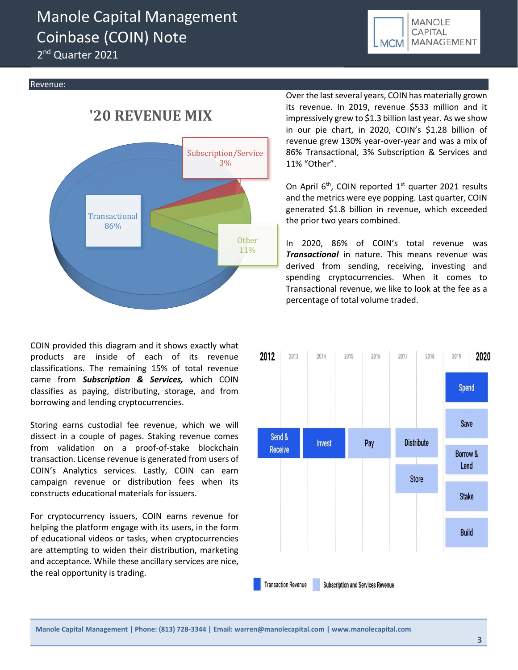2<sup>nd</sup> Quarter 2021



#### Revenue:

## **'20 REVENUE MIX**



COIN provided this diagram and it shows exactly what products are inside of each of its revenue classifications. The remaining 15% of total revenue came from *Subscription & Services,* which COIN classifies as paying, distributing, storage, and from borrowing and lending cryptocurrencies.

Storing earns custodial fee revenue, which we will dissect in a couple of pages. Staking revenue comes from validation on a proof-of-stake blockchain transaction. License revenue is generated from users of COIN's Analytics services. Lastly, COIN can earn campaign revenue or distribution fees when its constructs educational materials for issuers.

For cryptocurrency issuers, COIN earns revenue for helping the platform engage with its users, in the form of educational videos or tasks, when cryptocurrencies are attempting to widen their distribution, marketing and acceptance. While these ancillary services are nice, the real opportunity is trading.

Over the last several years, COIN has materially grown its revenue. In 2019, revenue \$533 million and it impressively grew to \$1.3 billion last year. As we show in our pie chart, in 2020, COIN's \$1.28 billion of revenue grew 130% year-over-year and was a mix of 86% Transactional, 3% Subscription & Services and 11% "Other".

On April  $6<sup>th</sup>$ , COIN reported  $1<sup>st</sup>$  quarter 2021 results and the metrics were eye popping. Last quarter, COIN generated \$1.8 billion in revenue, which exceeded the prior two years combined.

In 2020, 86% of COIN's total revenue was *Transactional* in nature. This means revenue was derived from sending, receiving, investing and spending cryptocurrencies. When it comes to Transactional revenue, we like to look at the fee as a percentage of total volume traded.

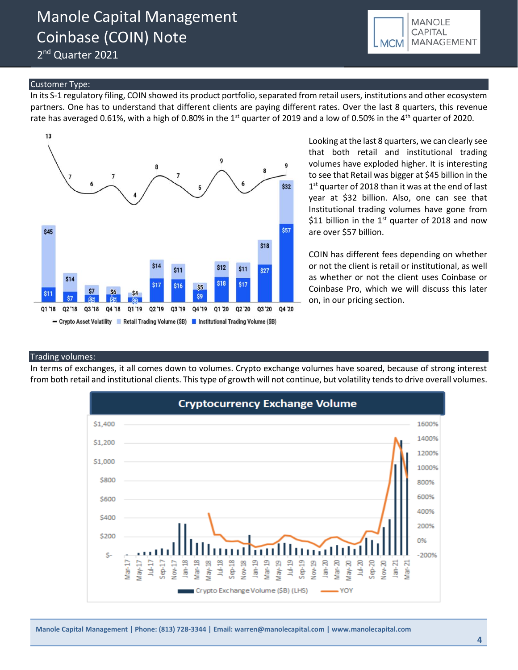2<sup>nd</sup> Quarter 2021

### Customer Type:

In its S-1 regulatory filing, COIN showed its product portfolio, separated from retail users, institutions and other ecosystem partners. One has to understand that different clients are paying different rates. Over the last 8 quarters, this revenue rate has averaged 0.61%, with a high of 0.80% in the 1<sup>st</sup> quarter of 2019 and a low of 0.50% in the 4<sup>th</sup> quarter of 2020.



Looking at the last 8 quarters, we can clearly see that both retail and institutional trading volumes have exploded higher. It is interesting to see that Retail was bigger at \$45 billion in the 1<sup>st</sup> quarter of 2018 than it was at the end of last year at \$32 billion. Also, one can see that Institutional trading volumes have gone from \$11 billion in the  $1<sup>st</sup>$  quarter of 2018 and now are over \$57 billion.

COIN has different fees depending on whether or not the client is retail or institutional, as well as whether or not the client uses Coinbase or Coinbase Pro, which we will discuss this later on, in our pricing section.

#### Trading volumes:

In terms of exchanges, it all comes down to volumes. Crypto exchange volumes have soared, because of strong interest from both retail and institutional clients. This type of growth will not continue, but volatility tends to drive overall volumes.

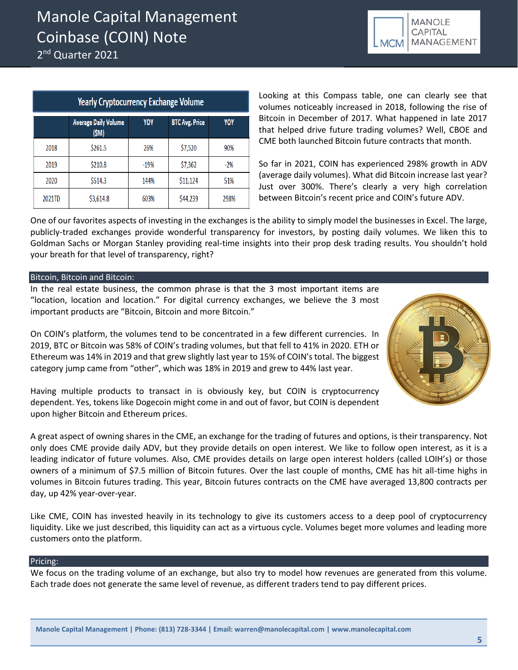2<sup>nd</sup> Quarter 2021

| MANOLE<br>CAPITAL |
|-------------------|
| LMCM MANAGEMENT   |

| <b>Yearly Cryptocurrency Exchange Volume</b> |                                      |        |                       |       |  |  |
|----------------------------------------------|--------------------------------------|--------|-----------------------|-------|--|--|
|                                              | <b>Average Daily Volume</b><br>(\$M) | YOY    | <b>BTC Avg. Price</b> | YOY   |  |  |
| 2018                                         | \$261.5                              | 26%    | \$7,520               | 90%   |  |  |
| 2019                                         | \$210.8                              | $-19%$ | \$7,362               | $-2%$ |  |  |
| 2020                                         | \$514.3                              | 144%   | \$11,124              | 51%   |  |  |
| 2021TD                                       | \$3,614.8                            | 603%   | \$44,239              | 298%  |  |  |

Looking at this Compass table, one can clearly see that volumes noticeably increased in 2018, following the rise of Bitcoin in December of 2017. What happened in late 2017 that helped drive future trading volumes? Well, CBOE and CME both launched Bitcoin future contracts that month.

So far in 2021, COIN has experienced 298% growth in ADV (average daily volumes). What did Bitcoin increase last year? Just over 300%. There's clearly a very high correlation between Bitcoin's recent price and COIN's future ADV.

One of our favorites aspects of investing in the exchanges is the ability to simply model the businesses in Excel. The large, publicly-traded exchanges provide wonderful transparency for investors, by posting daily volumes. We liken this to Goldman Sachs or Morgan Stanley providing real-time insights into their prop desk trading results. You shouldn't hold your breath for that level of transparency, right?

### Bitcoin, Bitcoin and Bitcoin:

In the real estate business, the common phrase is that the 3 most important items are "location, location and location." For digital currency exchanges, we believe the 3 most important products are "Bitcoin, Bitcoin and more Bitcoin."

On COIN's platform, the volumes tend to be concentrated in a few different currencies. In 2019, BTC or Bitcoin was 58% of COIN's trading volumes, but that fell to 41% in 2020. ETH or Ethereum was 14% in 2019 and that grew slightly last year to 15% of COIN's total. The biggest category jump came from "other", which was 18% in 2019 and grew to 44% last year.



Having multiple products to transact in is obviously key, but COIN is cryptocurrency dependent. Yes, tokens like Dogecoin might come in and out of favor, but COIN is dependent upon higher Bitcoin and Ethereum prices.

A great aspect of owning shares in the CME, an exchange for the trading of futures and options, is their transparency. Not only does CME provide daily ADV, but they provide details on open interest. We like to follow open interest, as it is a leading indicator of future volumes. Also, CME provides details on large open interest holders (called LOIH's) or those owners of a minimum of \$7.5 million of Bitcoin futures. Over the last couple of months, CME has hit all-time highs in volumes in Bitcoin futures trading. This year, Bitcoin futures contracts on the CME have averaged 13,800 contracts per day, up 42% year-over-year.

Like CME, COIN has invested heavily in its technology to give its customers access to a deep pool of cryptocurrency liquidity. Like we just described, this liquidity can act as a virtuous cycle. Volumes beget more volumes and leading more customers onto the platform.

### Pricing:

We focus on the trading volume of an exchange, but also try to model how revenues are generated from this volume. Each trade does not generate the same level of revenue, as different traders tend to pay different prices.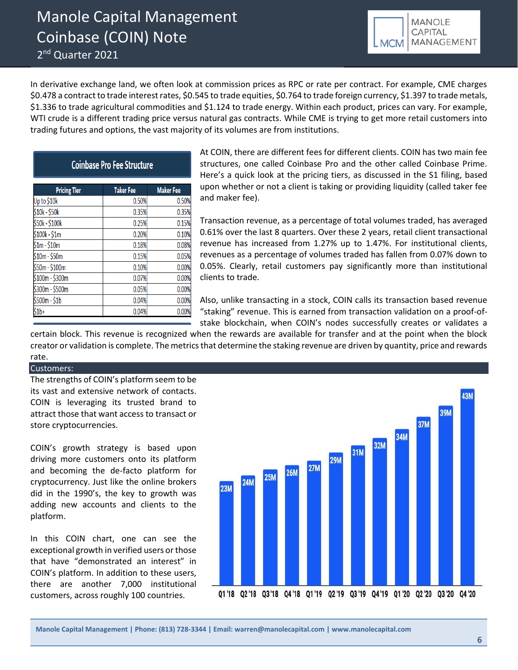2<sup>nd</sup> Quarter 2021



In derivative exchange land, we often look at commission prices as RPC or rate per contract. For example, CME charges \$0.478 a contract to trade interest rates, \$0.545 to trade equities, \$0.764 to trade foreign currency, \$1.397 to trade metals, \$1.336 to trade agricultural commodities and \$1.124 to trade energy. Within each product, prices can vary. For example, WTI crude is a different trading price versus natural gas contracts. While CME is trying to get more retail customers into trading futures and options, the vast majority of its volumes are from institutions.

### **Coinbase Pro Fee Structure**

| <b>Pricing Tier</b> | <b>Taker Fee</b> | <b>Maker Fee</b> |  |
|---------------------|------------------|------------------|--|
| Up to \$10k         | 0.50%            | 0.50%            |  |
| \$10k - \$50k       | 0.35%            | 0.35%            |  |
| \$50k - \$100k      | 0.25%            | 0.15%            |  |
| $$100k - $1m$       | 0.20%            | 0.10%            |  |
| $$1m - $10m$        | 0.18%            | 0.08%            |  |
| \$10m - \$50m       | 0.15%            | 0.05%            |  |
| \$50m - \$100m      | 0.10%            | 0.00%            |  |
| $$100m - $300m$     | 0.07%            | 0.00%            |  |
| \$300m - \$500m     | 0.05%            | 0.00%            |  |
| \$500m - \$1b       | 0.04%            | 0.00%            |  |
| \$1b+               | 0.04%            | 0.00%            |  |

At COIN, there are different fees for different clients. COIN has two main fee structures, one called Coinbase Pro and the other called Coinbase Prime. Here's a quick look at the pricing tiers, as discussed in the S1 filing, based upon whether or not a client is taking or providing liquidity (called taker fee and maker fee).

Transaction revenue, as a percentage of total volumes traded, has averaged 0.61% over the last 8 quarters. Over these 2 years, retail client transactional revenue has increased from 1.27% up to 1.47%. For institutional clients, revenues as a percentage of volumes traded has fallen from 0.07% down to 0.05%. Clearly, retail customers pay significantly more than institutional clients to trade.

Also, unlike transacting in a stock, COIN calls its transaction based revenue "staking" revenue. This is earned from transaction validation on a proof-ofstake blockchain, when COIN's nodes successfully creates or validates a

certain block. This revenue is recognized when the rewards are available for transfer and at the point when the block creator or validation is complete. The metrics that determine the staking revenue are driven by quantity, price and rewards rate.

### Customers:

The strengths of COIN's platform seem to be its vast and extensive network of contacts. COIN is leveraging its trusted brand to attract those that want access to transact or store cryptocurrencies.

COIN's growth strategy is based upon driving more customers onto its platform and becoming the de-facto platform for cryptocurrency. Just like the online brokers did in the 1990's, the key to growth was adding new accounts and clients to the platform.

In this COIN chart, one can see the exceptional growth in verified users or those that have "demonstrated an interest" in COIN's platform. In addition to these users, there are another 7,000 institutional customers, across roughly 100 countries.

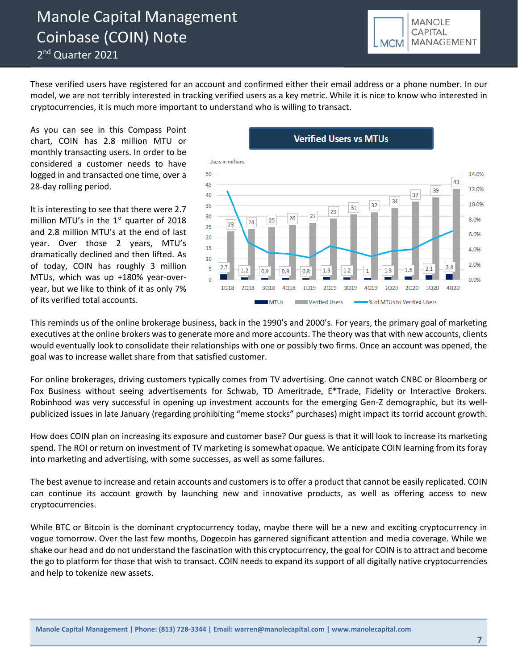2<sup>nd</sup> Quarter 2021



These verified users have registered for an account and confirmed either their email address or a phone number. In our model, we are not terribly interested in tracking verified users as a key metric. While it is nice to know who interested in cryptocurrencies, it is much more important to understand who is willing to transact.

As you can see in this Compass Point chart, COIN has 2.8 million MTU or monthly transacting users. In order to be considered a customer needs to have logged in and transacted one time, over a 28-day rolling period.

It is interesting to see that there were 2.7 million MTU's in the  $1<sup>st</sup>$  quarter of 2018 and 2.8 million MTU's at the end of last year. Over those 2 years, MTU's dramatically declined and then lifted. As of today, COIN has roughly 3 million MTUs, which was up +180% year-overyear, but we like to think of it as only 7% of its verified total accounts.

### **Verified Users vs MTUs**



This reminds us of the online brokerage business, back in the 1990's and 2000's. For years, the primary goal of marketing executives at the online brokers was to generate more and more accounts. The theory was that with new accounts, clients would eventually look to consolidate their relationships with one or possibly two firms. Once an account was opened, the goal was to increase wallet share from that satisfied customer.

For online brokerages, driving customers typically comes from TV advertising. One cannot watch CNBC or Bloomberg or Fox Business without seeing advertisements for Schwab, TD Ameritrade, E\*Trade, Fidelity or Interactive Brokers. Robinhood was very successful in opening up investment accounts for the emerging Gen-Z demographic, but its wellpublicized issues in late January (regarding prohibiting "meme stocks" purchases) might impact its torrid account growth.

How does COIN plan on increasing its exposure and customer base? Our guess is that it will look to increase its marketing spend. The ROI or return on investment of TV marketing is somewhat opaque. We anticipate COIN learning from its foray into marketing and advertising, with some successes, as well as some failures.

The best avenue to increase and retain accounts and customers is to offer a product that cannot be easily replicated. COIN can continue its account growth by launching new and innovative products, as well as offering access to new cryptocurrencies.

While BTC or Bitcoin is the dominant cryptocurrency today, maybe there will be a new and exciting cryptocurrency in vogue tomorrow. Over the last few months, Dogecoin has garnered significant attention and media coverage. While we shake our head and do not understand the fascination with this cryptocurrency, the goal for COIN is to attract and become the go to platform for those that wish to transact. COIN needs to expand its support of all digitally native cryptocurrencies and help to tokenize new assets.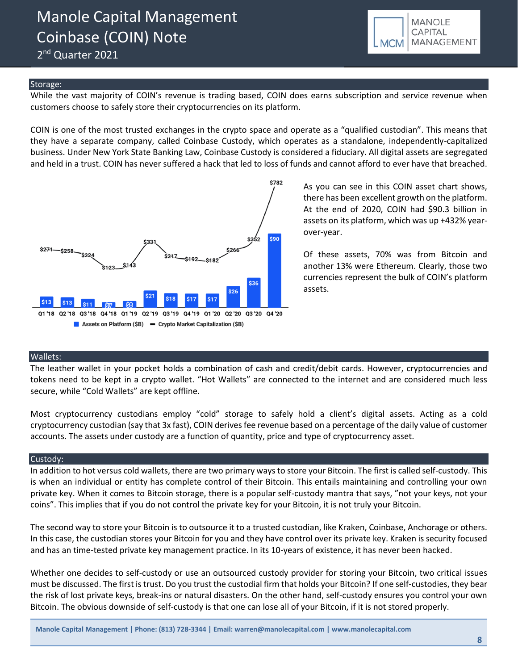2<sup>nd</sup> Quarter 2021



### Storage:

While the vast majority of COIN's revenue is trading based, COIN does earns subscription and service revenue when customers choose to safely store their cryptocurrencies on its platform.

COIN is one of the most trusted exchanges in the crypto space and operate as a "qualified custodian". This means that they have a separate company, called Coinbase Custody, which operates as a standalone, independently-capitalized business. Under New York State Banking Law, Coinbase Custody is considered a fiduciary. All digital assets are segregated and held in a trust. COIN has never suffered a hack that led to loss of funds and cannot afford to ever have that breached.



As you can see in this COIN asset chart shows, there has been excellent growth on the platform. At the end of 2020, COIN had \$90.3 billion in assets on its platform, which was up +432% yearover-year.

Of these assets, 70% was from Bitcoin and another 13% were Ethereum. Clearly, those two currencies represent the bulk of COIN's platform assets.

### Wallets:

The leather wallet in your pocket holds a combination of cash and credit/debit cards. However, cryptocurrencies and tokens need to be kept in a crypto wallet. "Hot Wallets" are connected to the internet and are considered much less secure, while "Cold Wallets" are kept offline.

Most cryptocurrency custodians employ "cold" storage to safely hold a client's digital assets. Acting as a cold cryptocurrency custodian (say that 3x fast), COIN derives fee revenue based on a percentage of the daily value of customer accounts. The assets under custody are a function of quantity, price and type of cryptocurrency asset.

### Custody:

In addition to hot versus cold wallets, there are two primary ways to store your Bitcoin. The first is called self-custody. This is when an individual or entity has complete control of their Bitcoin. This entails maintaining and controlling your own private key. When it comes to Bitcoin storage, there is a popular self-custody mantra that says, "not your keys, not your coins". This implies that if you do not control the private key for your Bitcoin, it is not truly your Bitcoin.

The second way to store your Bitcoin is to outsource it to a trusted custodian, like Kraken, Coinbase, Anchorage or others. In this case, the custodian stores your Bitcoin for you and they have control over its private key. Kraken is security focused and has an time-tested private key management practice. In its 10-years of existence, it has never been hacked.

Whether one decides to self-custody or use an outsourced custody provider for storing your Bitcoin, two critical issues must be discussed. The first is trust. Do you trust the custodial firm that holds your Bitcoin? If one self-custodies, they bear the risk of lost private keys, break-ins or natural disasters. On the other hand, self-custody ensures you control your own Bitcoin. The obvious downside of self-custody is that one can lose all of your Bitcoin, if it is not stored properly.

**Manole Capital Management | Phone: (813) 728-3344 | Email: warren@manolecapital.com | www.manolecapital.com**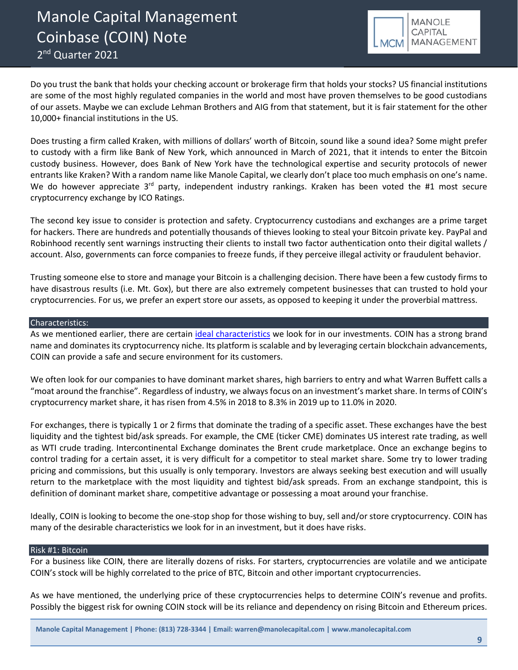Manole Capital Management Coinbase (COIN) Note 2<sup>nd</sup> Quarter 2021



Do you trust the bank that holds your checking account or brokerage firm that holds your stocks? US financial institutions are some of the most highly regulated companies in the world and most have proven themselves to be good custodians of our assets. Maybe we can exclude Lehman Brothers and AIG from that statement, but it is fair statement for the other 10,000+ financial institutions in the US.

Does trusting a firm called Kraken, with millions of dollars' worth of Bitcoin, sound like a sound idea? Some might prefer to custody with a firm like Bank of New York, which announced in March of 2021, that it intends to enter the Bitcoin custody business. However, does Bank of New York have the technological expertise and security protocols of newer entrants like Kraken? With a random name like Manole Capital, we clearly don't place too much emphasis on one's name. We do however appreciate 3<sup>rd</sup> party, independent industry rankings. Kraken has been voted the #1 most secure cryptocurrency exchange by ICO Ratings.

The second key issue to consider is protection and safety. Cryptocurrency custodians and exchanges are a prime target for hackers. There are hundreds and potentially thousands of thieves looking to steal your Bitcoin private key. PayPal and Robinhood recently sent warnings instructing their clients to install two factor authentication onto their digital wallets / account. Also, governments can force companies to freeze funds, if they perceive illegal activity or fraudulent behavior.

Trusting someone else to store and manage your Bitcoin is a challenging decision. There have been a few custody firms to have disastrous results (i.e. Mt. Gox), but there are also extremely competent businesses that can trusted to hold your cryptocurrencies. For us, we prefer an expert store our assets, as opposed to keeping it under the proverbial mattress.

### Characteristics:

As we mentioned earlier, there are certain [ideal characteristics](http://www.manolecapital.com/philosophy) we look for in our investments. COIN has a strong brand name and dominates its cryptocurrency niche. Its platform is scalable and by leveraging certain blockchain advancements, COIN can provide a safe and secure environment for its customers.

We often look for our companies to have dominant market shares, high barriers to entry and what Warren Buffett calls a "moat around the franchise". Regardless of industry, we always focus on an investment's market share. In terms of COIN's cryptocurrency market share, it has risen from 4.5% in 2018 to 8.3% in 2019 up to 11.0% in 2020.

For exchanges, there is typically 1 or 2 firms that dominate the trading of a specific asset. These exchanges have the best liquidity and the tightest bid/ask spreads. For example, the CME (ticker CME) dominates US interest rate trading, as well as WTI crude trading. Intercontinental Exchange dominates the Brent crude marketplace. Once an exchange begins to control trading for a certain asset, it is very difficult for a competitor to steal market share. Some try to lower trading pricing and commissions, but this usually is only temporary. Investors are always seeking best execution and will usually return to the marketplace with the most liquidity and tightest bid/ask spreads. From an exchange standpoint, this is definition of dominant market share, competitive advantage or possessing a moat around your franchise.

Ideally, COIN is looking to become the one-stop shop for those wishing to buy, sell and/or store cryptocurrency. COIN has many of the desirable characteristics we look for in an investment, but it does have risks.

### Risk #1: Bitcoin

For a business like COIN, there are literally dozens of risks. For starters, cryptocurrencies are volatile and we anticipate COIN's stock will be highly correlated to the price of BTC, Bitcoin and other important cryptocurrencies.

As we have mentioned, the underlying price of these cryptocurrencies helps to determine COIN's revenue and profits. Possibly the biggest risk for owning COIN stock will be its reliance and dependency on rising Bitcoin and Ethereum prices.

**Manole Capital Management | Phone: (813) 728-3344 | Email: warren@manolecapital.com | www.manolecapital.com**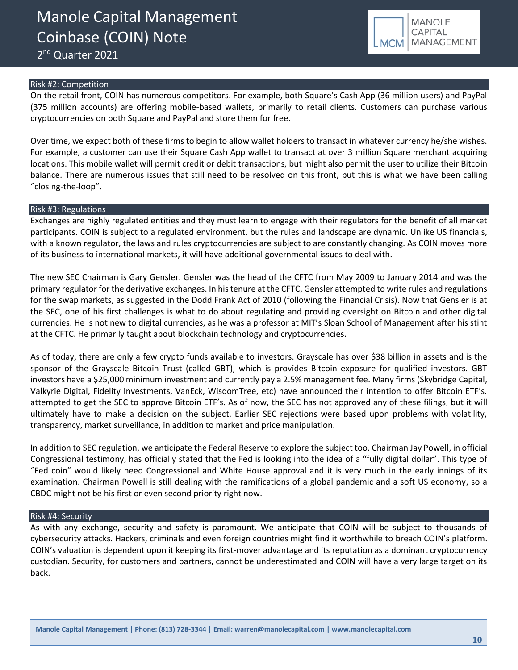2<sup>nd</sup> Quarter 2021



### Risk #2: Competition

On the retail front, COIN has numerous competitors. For example, both Square's Cash App (36 million users) and PayPal (375 million accounts) are offering mobile-based wallets, primarily to retail clients. Customers can purchase various cryptocurrencies on both Square and PayPal and store them for free.

Over time, we expect both of these firms to begin to allow wallet holders to transact in whatever currency he/she wishes. For example, a customer can use their Square Cash App wallet to transact at over 3 million Square merchant acquiring locations. This mobile wallet will permit credit or debit transactions, but might also permit the user to utilize their Bitcoin balance. There are numerous issues that still need to be resolved on this front, but this is what we have been calling "closing-the-loop".

### Risk #3: Regulations

Exchanges are highly regulated entities and they must learn to engage with their regulators for the benefit of all market participants. COIN is subject to a regulated environment, but the rules and landscape are dynamic. Unlike US financials, with a known regulator, the laws and rules cryptocurrencies are subject to are constantly changing. As COIN moves more of its business to international markets, it will have additional governmental issues to deal with.

The new SEC Chairman is Gary Gensler. Gensler was the head of the CFTC from May 2009 to January 2014 and was the primary regulator for the derivative exchanges. In his tenure at the CFTC, Gensler attempted to write rules and regulations for the swap markets, as suggested in the Dodd Frank Act of 2010 (following the Financial Crisis). Now that Gensler is at the SEC, one of his first challenges is what to do about regulating and providing oversight on Bitcoin and other digital currencies. He is not new to digital currencies, as he was a professor at MIT's Sloan School of Management after his stint at the CFTC. He primarily taught about blockchain technology and cryptocurrencies.

As of today, there are only a few crypto funds available to investors. Grayscale has over \$38 billion in assets and is the sponsor of the Grayscale Bitcoin Trust (called GBT), which is provides Bitcoin exposure for qualified investors. GBT investors have a \$25,000 minimum investment and currently pay a 2.5% management fee. Many firms (Skybridge Capital, Valkyrie Digital, Fidelity Investments, VanEck, WisdomTree, etc) have announced their intention to offer Bitcoin ETF's. attempted to get the SEC to approve Bitcoin ETF's. As of now, the SEC has not approved any of these filings, but it will ultimately have to make a decision on the subject. Earlier SEC rejections were based upon problems with volatility, transparency, market surveillance, in addition to market and price manipulation.

In addition to SEC regulation, we anticipate the Federal Reserve to explore the subject too. Chairman Jay Powell, in official Congressional testimony, has officially stated that the Fed is looking into the idea of a "fully digital dollar". This type of "Fed coin" would likely need Congressional and White House approval and it is very much in the early innings of its examination. Chairman Powell is still dealing with the ramifications of a global pandemic and a soft US economy, so a CBDC might not be his first or even second priority right now.

### Risk #4: Security

As with any exchange, security and safety is paramount. We anticipate that COIN will be subject to thousands of cybersecurity attacks. Hackers, criminals and even foreign countries might find it worthwhile to breach COIN's platform. COIN's valuation is dependent upon it keeping its first-mover advantage and its reputation as a dominant cryptocurrency custodian. Security, for customers and partners, cannot be underestimated and COIN will have a very large target on its back.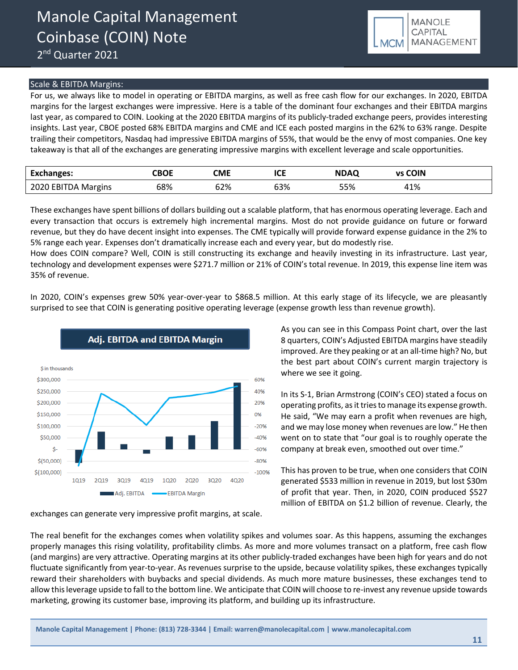### Scale & EBITDA Margins:

For us, we always like to model in operating or EBITDA margins, as well as free cash flow for our exchanges. In 2020, EBITDA margins for the largest exchanges were impressive. Here is a table of the dominant four exchanges and their EBITDA margins last year, as compared to COIN. Looking at the 2020 EBITDA margins of its publicly-traded exchange peers, provides interesting insights. Last year, CBOE posted 68% EBITDA margins and CME and ICE each posted margins in the 62% to 63% range. Despite trailing their competitors, Nasdaq had impressive EBITDA margins of 55%, that would be the envy of most companies. One key takeaway is that all of the exchanges are generating impressive margins with excellent leverage and scale opportunities.

| <b>Exchanges:</b>   | CBOE | CME | <b>ICE</b> | <b>NDAQ</b> | <b>vs COIN</b> |
|---------------------|------|-----|------------|-------------|----------------|
| 2020 EBITDA Margins | 68%  | 62% | 63%        | 55%         | 41%            |

These exchanges have spent billions of dollars building out a scalable platform, that has enormous operating leverage. Each and every transaction that occurs is extremely high incremental margins. Most do not provide guidance on future or forward revenue, but they do have decent insight into expenses. The CME typically will provide forward expense guidance in the 2% to 5% range each year. Expenses don't dramatically increase each and every year, but do modestly rise.

How does COIN compare? Well, COIN is still constructing its exchange and heavily investing in its infrastructure. Last year, technology and development expenses were \$271.7 million or 21% of COIN's total revenue. In 2019, this expense line item was 35% of revenue.

In 2020, COIN's expenses grew 50% year-over-year to \$868.5 million. At this early stage of its lifecycle, we are pleasantly surprised to see that COIN is generating positive operating leverage (expense growth less than revenue growth).



exchanges can generate very impressive profit margins, at scale.

As you can see in this Compass Point chart, over the last 8 quarters, COIN's Adjusted EBITDA margins have steadily improved. Are they peaking or at an all-time high? No, but the best part about COIN's current margin trajectory is where we see it going.

In its S-1, Brian Armstrong (COIN's CEO) stated a focus on operating profits, as it tries to manage its expense growth. He said, "We may earn a profit when revenues are high, and we may lose money when revenues are low." He then went on to state that "our goal is to roughly operate the company at break even, smoothed out over time."

This has proven to be true, when one considers that COIN generated \$533 million in revenue in 2019, but lost \$30m of profit that year. Then, in 2020, COIN produced \$527 million of EBITDA on \$1.2 billion of revenue. Clearly, the

The real benefit for the exchanges comes when volatility spikes and volumes soar. As this happens, assuming the exchanges properly manages this rising volatility, profitability climbs. As more and more volumes transact on a platform, free cash flow (and margins) are very attractive. Operating margins at its other publicly-traded exchanges have been high for years and do not fluctuate significantly from year-to-year. As revenues surprise to the upside, because volatility spikes, these exchanges typically reward their shareholders with buybacks and special dividends. As much more mature businesses, these exchanges tend to allow thisleverage upside to fall to the bottom line. We anticipate that COIN will choose to re-invest any revenue upside towards marketing, growing its customer base, improving its platform, and building up its infrastructure.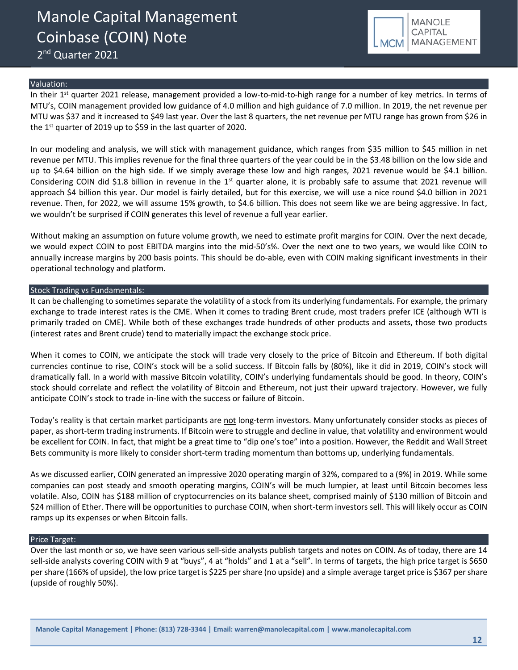2<sup>nd</sup> Quarter 2021



### Valuation:

In their  $1<sup>st</sup>$  quarter 2021 release, management provided a low-to-mid-to-high range for a number of key metrics. In terms of MTU's, COIN management provided low guidance of 4.0 million and high guidance of 7.0 million. In 2019, the net revenue per MTU was \$37 and it increased to \$49 last year. Over the last 8 quarters, the net revenue per MTU range has grown from \$26 in the 1<sup>st</sup> quarter of 2019 up to \$59 in the last quarter of 2020.

In our modeling and analysis, we will stick with management guidance, which ranges from \$35 million to \$45 million in net revenue per MTU. This implies revenue for the final three quarters of the year could be in the \$3.48 billion on the low side and up to \$4.64 billion on the high side. If we simply average these low and high ranges, 2021 revenue would be \$4.1 billion. Considering COIN did \$1.8 billion in revenue in the  $1<sup>st</sup>$  quarter alone, it is probably safe to assume that 2021 revenue will approach \$4 billion this year. Our model is fairly detailed, but for this exercise, we will use a nice round \$4.0 billion in 2021 revenue. Then, for 2022, we will assume 15% growth, to \$4.6 billion. This does not seem like we are being aggressive. In fact, we wouldn't be surprised if COIN generates this level of revenue a full year earlier.

Without making an assumption on future volume growth, we need to estimate profit margins for COIN. Over the next decade, we would expect COIN to post EBITDA margins into the mid-50's%. Over the next one to two years, we would like COIN to annually increase margins by 200 basis points. This should be do-able, even with COIN making significant investments in their operational technology and platform.

#### Stock Trading vs Fundamentals:

It can be challenging to sometimes separate the volatility of a stock from its underlying fundamentals. For example, the primary exchange to trade interest rates is the CME. When it comes to trading Brent crude, most traders prefer ICE (although WTI is primarily traded on CME). While both of these exchanges trade hundreds of other products and assets, those two products (interest rates and Brent crude) tend to materially impact the exchange stock price.

When it comes to COIN, we anticipate the stock will trade very closely to the price of Bitcoin and Ethereum. If both digital currencies continue to rise, COIN's stock will be a solid success. If Bitcoin falls by (80%), like it did in 2019, COIN's stock will dramatically fall. In a world with massive Bitcoin volatility, COIN's underlying fundamentals should be good. In theory, COIN's stock should correlate and reflect the volatility of Bitcoin and Ethereum, not just their upward trajectory. However, we fully anticipate COIN's stock to trade in-line with the success or failure of Bitcoin.

Today's reality is that certain market participants are not long-term investors. Many unfortunately consider stocks as pieces of paper, as short-term trading instruments. If Bitcoin were to struggle and decline in value, that volatility and environment would be excellent for COIN. In fact, that might be a great time to "dip one's toe" into a position. However, the Reddit and Wall Street Bets community is more likely to consider short-term trading momentum than bottoms up, underlying fundamentals.

As we discussed earlier, COIN generated an impressive 2020 operating margin of 32%, compared to a (9%) in 2019. While some companies can post steady and smooth operating margins, COIN's will be much lumpier, at least until Bitcoin becomes less volatile. Also, COIN has \$188 million of cryptocurrencies on its balance sheet, comprised mainly of \$130 million of Bitcoin and \$24 million of Ether. There will be opportunities to purchase COIN, when short-term investors sell. This will likely occur as COIN ramps up its expenses or when Bitcoin falls.

### Price Target:

Over the last month or so, we have seen various sell-side analysts publish targets and notes on COIN. As of today, there are 14 sell-side analysts covering COIN with 9 at "buys", 4 at "holds" and 1 at a "sell". In terms of targets, the high price target is \$650 per share (166% of upside), the low price target is \$225 per share (no upside) and a simple average target price is \$367 per share (upside of roughly 50%).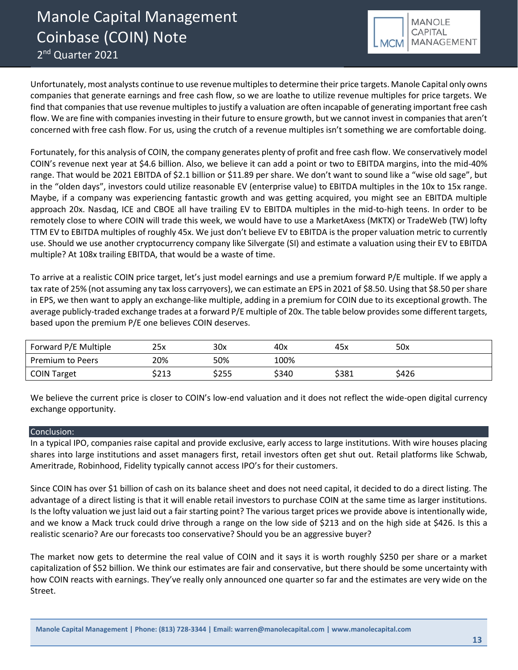

Unfortunately, most analysts continue to use revenue multiples to determine their price targets. Manole Capital only owns companies that generate earnings and free cash flow, so we are loathe to utilize revenue multiples for price targets. We find that companies that use revenue multiples to justify a valuation are often incapable of generating important free cash flow. We are fine with companies investing in their future to ensure growth, but we cannot invest in companies that aren't concerned with free cash flow. For us, using the crutch of a revenue multiples isn't something we are comfortable doing.

Fortunately, for this analysis of COIN, the company generates plenty of profit and free cash flow. We conservatively model COIN's revenue next year at \$4.6 billion. Also, we believe it can add a point or two to EBITDA margins, into the mid-40% range. That would be 2021 EBITDA of \$2.1 billion or \$11.89 per share. We don't want to sound like a "wise old sage", but in the "olden days", investors could utilize reasonable EV (enterprise value) to EBITDA multiples in the 10x to 15x range. Maybe, if a company was experiencing fantastic growth and was getting acquired, you might see an EBITDA multiple approach 20x. Nasdaq, ICE and CBOE all have trailing EV to EBITDA multiples in the mid-to-high teens. In order to be remotely close to where COIN will trade this week, we would have to use a MarketAxess (MKTX) or TradeWeb (TW) lofty TTM EV to EBITDA multiples of roughly 45x. We just don't believe EV to EBITDA is the proper valuation metric to currently use. Should we use another cryptocurrency company like Silvergate (SI) and estimate a valuation using their EV to EBITDA multiple? At 108x trailing EBITDA, that would be a waste of time.

To arrive at a realistic COIN price target, let's just model earnings and use a premium forward P/E multiple. If we apply a tax rate of 25% (not assuming any tax loss carryovers), we can estimate an EPS in 2021 of \$8.50. Using that \$8.50 per share in EPS, we then want to apply an exchange-like multiple, adding in a premium for COIN due to its exceptional growth. The average publicly-traded exchange trades at a forward P/E multiple of 20x. The table below provides some different targets, based upon the premium P/E one believes COIN deserves.

| Forward P/E Multiple    | 25x   | 30x   | 40x   | 45x   | 50x   |
|-------------------------|-------|-------|-------|-------|-------|
| <b>Premium to Peers</b> | 20%   | 50%   | 100%  |       |       |
| <b>COIN Target</b>      | \$213 | \$255 | \$340 | \$381 | \$426 |

We believe the current price is closer to COIN's low-end valuation and it does not reflect the wide-open digital currency exchange opportunity.

### Conclusion:

In a typical IPO, companies raise capital and provide exclusive, early access to large institutions. With wire houses placing shares into large institutions and asset managers first, retail investors often get shut out. Retail platforms like Schwab, Ameritrade, Robinhood, Fidelity typically cannot access IPO's for their customers.

Since COIN has over \$1 billion of cash on its balance sheet and does not need capital, it decided to do a direct listing. The advantage of a direct listing is that it will enable retail investors to purchase COIN at the same time as larger institutions. Is the lofty valuation we just laid out a fair starting point? The various target prices we provide above is intentionally wide, and we know a Mack truck could drive through a range on the low side of \$213 and on the high side at \$426. Is this a realistic scenario? Are our forecasts too conservative? Should you be an aggressive buyer?

The market now gets to determine the real value of COIN and it says it is worth roughly \$250 per share or a market capitalization of \$52 billion. We think our estimates are fair and conservative, but there should be some uncertainty with how COIN reacts with earnings. They've really only announced one quarter so far and the estimates are very wide on the Street.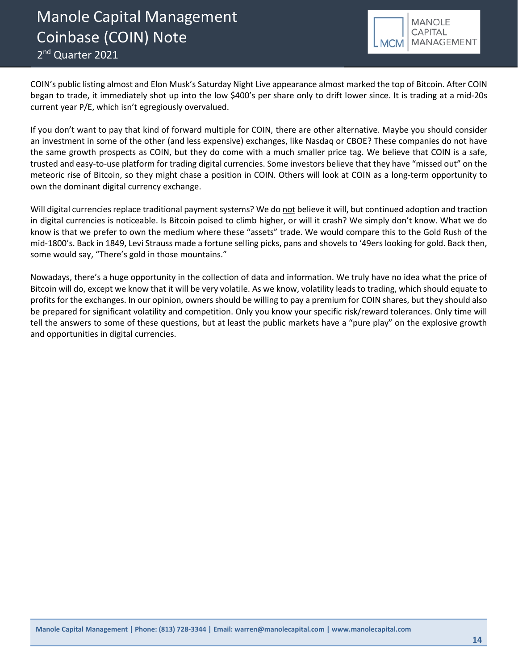Manole Capital Management Coinbase (COIN) Note 2<sup>nd</sup> Quarter 2021



COIN's public listing almost and Elon Musk's Saturday Night Live appearance almost marked the top of Bitcoin. After COIN began to trade, it immediately shot up into the low \$400's per share only to drift lower since. It is trading at a mid-20s current year P/E, which isn't egregiously overvalued.

If you don't want to pay that kind of forward multiple for COIN, there are other alternative. Maybe you should consider an investment in some of the other (and less expensive) exchanges, like Nasdaq or CBOE? These companies do not have the same growth prospects as COIN, but they do come with a much smaller price tag. We believe that COIN is a safe, trusted and easy-to-use platform for trading digital currencies. Some investors believe that they have "missed out" on the meteoric rise of Bitcoin, so they might chase a position in COIN. Others will look at COIN as a long-term opportunity to own the dominant digital currency exchange.

Will digital currencies replace traditional payment systems? We do not believe it will, but continued adoption and traction in digital currencies is noticeable. Is Bitcoin poised to climb higher, or will it crash? We simply don't know. What we do know is that we prefer to own the medium where these "assets" trade. We would compare this to the Gold Rush of the mid-1800's. Back in 1849, Levi Strauss made a fortune selling picks, pans and shovels to '49ers looking for gold. Back then, some would say, "There's gold in those mountains."

Nowadays, there's a huge opportunity in the collection of data and information. We truly have no idea what the price of Bitcoin will do, except we know that it will be very volatile. As we know, volatility leads to trading, which should equate to profits for the exchanges. In our opinion, owners should be willing to pay a premium for COIN shares, but they should also be prepared for significant volatility and competition. Only you know your specific risk/reward tolerances. Only time will tell the answers to some of these questions, but at least the public markets have a "pure play" on the explosive growth and opportunities in digital currencies.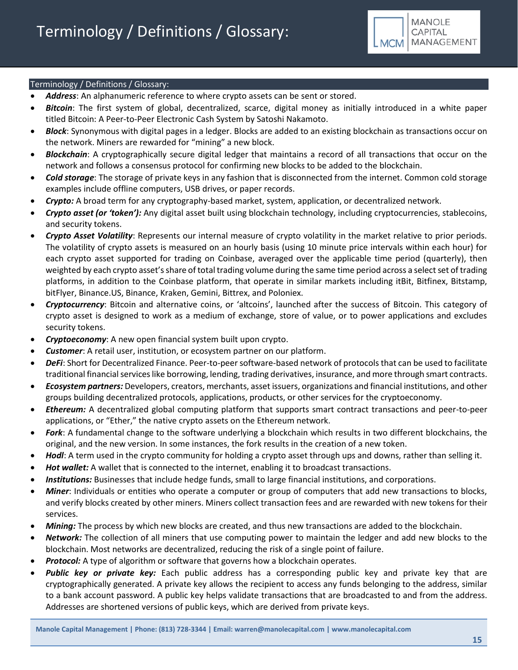

### Terminology / Definitions / Glossary:

- *Address*: An alphanumeric reference to where crypto assets can be sent or stored.
- *Bitcoin*: The first system of global, decentralized, scarce, digital money as initially introduced in a white paper titled Bitcoin: A Peer-to-Peer Electronic Cash System by Satoshi Nakamoto.
- *Block*: Synonymous with digital pages in a ledger. Blocks are added to an existing blockchain as transactions occur on the network. Miners are rewarded for "mining" a new block.
- *Blockchain*: A cryptographically secure digital ledger that maintains a record of all transactions that occur on the network and follows a consensus protocol for confirming new blocks to be added to the blockchain.
- *Cold storage*: The storage of private keys in any fashion that is disconnected from the internet. Common cold storage examples include offline computers, USB drives, or paper records.
- *Crypto:* A broad term for any cryptography-based market, system, application, or decentralized network.
- *Crypto asset (or 'token'):* Any digital asset built using blockchain technology, including cryptocurrencies, stablecoins, and security tokens.
- *Crypto Asset Volatility*: Represents our internal measure of crypto volatility in the market relative to prior periods. The volatility of crypto assets is measured on an hourly basis (using 10 minute price intervals within each hour) for each crypto asset supported for trading on Coinbase, averaged over the applicable time period (quarterly), then weighted by each crypto asset's share of total trading volume during the same time period across a select set of trading platforms, in addition to the Coinbase platform, that operate in similar markets including itBit, Bitfinex, Bitstamp, bitFlyer, Binance.US, Binance, Kraken, Gemini, Bittrex, and Poloniex.
- *Cryptocurrency*: Bitcoin and alternative coins, or 'altcoins', launched after the success of Bitcoin. This category of crypto asset is designed to work as a medium of exchange, store of value, or to power applications and excludes security tokens.
- *Cryptoeconomy*: A new open financial system built upon crypto.
- *Customer*: A retail user, institution, or ecosystem partner on our platform.
- *DeFi*: Short for Decentralized Finance. Peer-to-peer software-based network of protocols that can be used to facilitate traditional financial services like borrowing, lending, trading derivatives, insurance, and more through smart contracts.
- *Ecosystem partners:* Developers, creators, merchants, asset issuers, organizations and financial institutions, and other groups building decentralized protocols, applications, products, or other services for the cryptoeconomy.
- *Ethereum:* A decentralized global computing platform that supports smart contract transactions and peer-to-peer applications, or "Ether," the native crypto assets on the Ethereum network.
- *Fork*: A fundamental change to the software underlying a blockchain which results in two different blockchains, the original, and the new version. In some instances, the fork results in the creation of a new token.
- *Hodl*: A term used in the crypto community for holding a crypto asset through ups and downs, rather than selling it.
- Hot wallet: A wallet that is connected to the internet, enabling it to broadcast transactions.
- *Institutions:* Businesses that include hedge funds, small to large financial institutions, and corporations.
- *Miner*: Individuals or entities who operate a computer or group of computers that add new transactions to blocks, and verify blocks created by other miners. Miners collect transaction fees and are rewarded with new tokens for their services.
- *Mining:* The process by which new blocks are created, and thus new transactions are added to the blockchain.
- *Network:* The collection of all miners that use computing power to maintain the ledger and add new blocks to the blockchain. Most networks are decentralized, reducing the risk of a single point of failure.
- **Protocol:** A type of algorithm or software that governs how a blockchain operates.
- *Public key or private key:* Each public address has a corresponding public key and private key that are cryptographically generated. A private key allows the recipient to access any funds belonging to the address, similar to a bank account password. A public key helps validate transactions that are broadcasted to and from the address. Addresses are shortened versions of public keys, which are derived from private keys.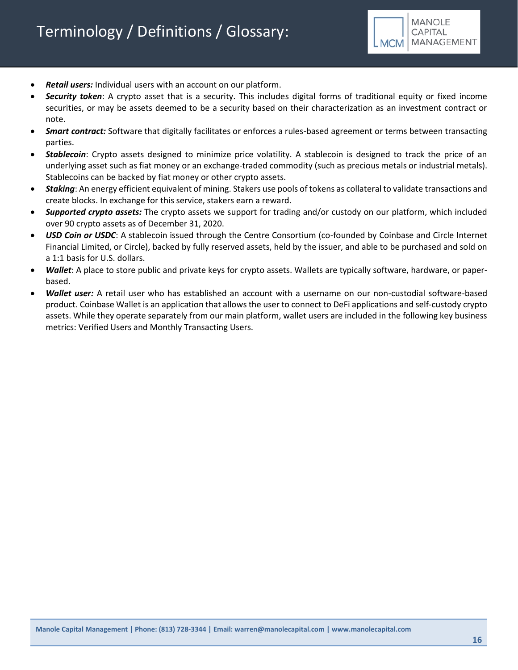

- *Retail users:* Individual users with an account on our platform.
- *Security token*: A crypto asset that is a security. This includes digital forms of traditional equity or fixed income securities, or may be assets deemed to be a security based on their characterization as an investment contract or note.
- *Smart contract:* Software that digitally facilitates or enforces a rules-based agreement or terms between transacting parties.
- *Stablecoin*: Crypto assets designed to minimize price volatility. A stablecoin is designed to track the price of an underlying asset such as fiat money or an exchange-traded commodity (such as precious metals or industrial metals). Stablecoins can be backed by fiat money or other crypto assets.
- *Staking*: An energy efficient equivalent of mining. Stakers use pools of tokens as collateral to validate transactions and create blocks. In exchange for this service, stakers earn a reward.
- *Supported crypto assets:* The crypto assets we support for trading and/or custody on our platform, which included over 90 crypto assets as of December 31, 2020.
- *USD Coin or USDC*: A stablecoin issued through the Centre Consortium (co-founded by Coinbase and Circle Internet Financial Limited, or Circle), backed by fully reserved assets, held by the issuer, and able to be purchased and sold on a 1:1 basis for U.S. dollars.
- *Wallet*: A place to store public and private keys for crypto assets. Wallets are typically software, hardware, or paperbased.
- *Wallet user:* A retail user who has established an account with a username on our non-custodial software-based product. Coinbase Wallet is an application that allows the user to connect to DeFi applications and self-custody crypto assets. While they operate separately from our main platform, wallet users are included in the following key business metrics: Verified Users and Monthly Transacting Users.